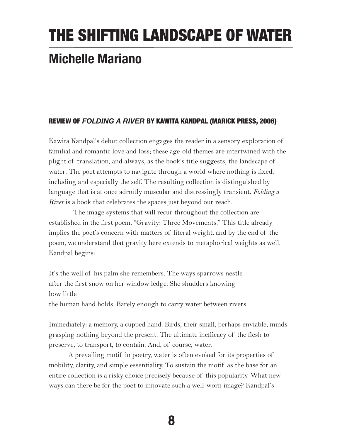## THE SHIFTING LANDSCAPE OF WATER

## **Michelle Mariano**

## REVIEW OF *FOLDING A RIVER* BY KAWITA KANDPAL (MARICK PRESS, 2006)

Kawita Kandpal's debut collection engages the reader in a sensory exploration of familial and romantic love and loss; these age-old themes are intertwined with the plight of translation, and always, as the book's title suggests, the landscape of water. The poet attempts to navigate through a world where nothing is fixed, including and especially the self. The resulting collection is distinguished by language that is at once adroitly muscular and distressingly transient. *Folding a River* is a book that celebrates the spaces just beyond our reach.

The image systems that will recur throughout the collection are established in the first poem, "Gravity: Three Movements." This title already implies the poet's concern with matters of literal weight, and by the end of the poem, we understand that gravity here extends to metaphorical weights as well. Kandpal begins:

It's the well of his palm she remembers. The ways sparrows nestle after the first snow on her window ledge. She shudders knowing how little the human hand holds. Barely enough to carry water between rivers.

Immediately: a memory, a cupped hand. Birds, their small, perhaps enviable, minds grasping nothing beyond the present. The ultimate inefficacy of the flesh to preserve, to transport, to contain. And, of course, water.

A prevailing motif in poetry, water is often evoked for its properties of mobility, clarity, and simple essentiality. To sustain the motif as the base for an entire collection is a risky choice precisely because of this popularity. What new ways can there be for the poet to innovate such a well-worn image? Kandpal's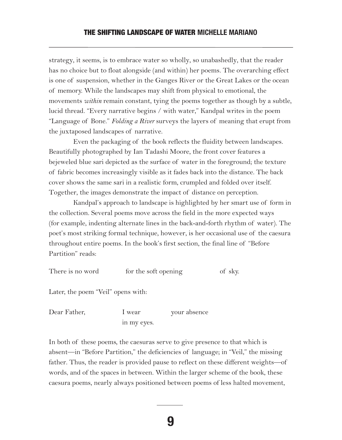strategy, it seems, is to embrace water so wholly, so unabashedly, that the reader has no choice but to float alongside (and within) her poems. The overarching effect is one of suspension, whether in the Ganges River or the Great Lakes or the ocean of memory. While the landscapes may shift from physical to emotional, the movements *within* remain constant, tying the poems together as though by a subtle, lucid thread. "Every narrative begins / with water," Kandpal writes in the poem "Language of Bone." *Folding a River* surveys the layers of meaning that erupt from the juxtaposed landscapes of narrative.

Even the packaging of the book reflects the fluidity between landscapes. Beautifully photographed by Ian Tadashi Moore, the front cover features a bejeweled blue sari depicted as the surface of water in the foreground; the texture of fabric becomes increasingly visible as it fades back into the distance. The back cover shows the same sari in a realistic form, crumpled and folded over itself. Together, the images demonstrate the impact of distance on perception.

Kandpal's approach to landscape is highlighted by her smart use of form in the collection. Several poems move across the field in the more expected ways (for example, indenting alternate lines in the back-and-forth rhythm of water). The poet's most striking formal technique, however, is her occasional use of the caesura throughout entire poems. In the book's first section, the final line of "Before Partition" reads:

| There is no word                   | for the soft opening | of sky. |
|------------------------------------|----------------------|---------|
| Later, the poem "Veil" opens with: |                      |         |

in my eyes.

Dear Father, **I** wear your absence

In both of these poems, the caesuras serve to give presence to that which is absent—in "Before Partition," the deficiencies of language; in "Veil," the missing father. Thus, the reader is provided pause to reflect on these different weights—of words, and of the spaces in between. Within the larger scheme of the book, these caesura poems, nearly always positioned between poems of less halted movement,

**9**